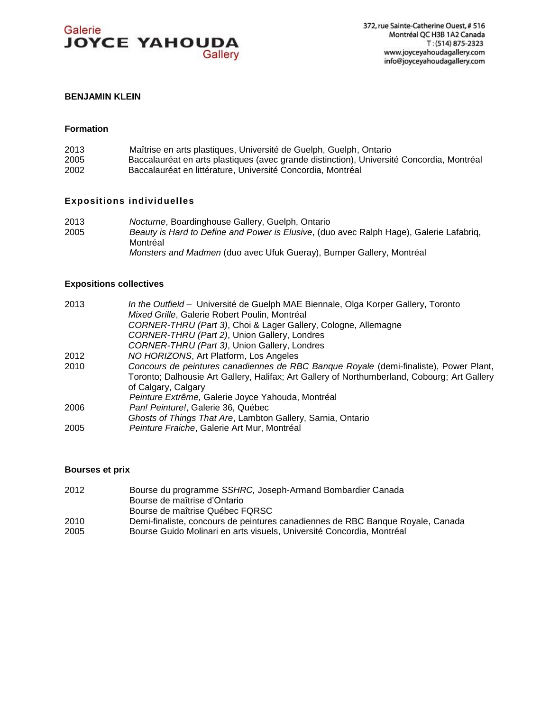

# **BENJAMIN KLEIN**

#### **Formation**

| 2013 | Maîtrise en arts plastiques, Université de Guelph, Guelph, Ontario                        |
|------|-------------------------------------------------------------------------------------------|
| 2005 | Baccalauréat en arts plastiques (avec grande distinction), Université Concordia, Montréal |
| 2002 | Baccalauréat en littérature, Université Concordia, Montréal                               |

# **Expositions individuelles**

2013 *Nocturne*, Boardinghouse Gallery, Guelph, Ontario Beauty is Hard to Define and Power is Elusive, (duo avec Ralph Hage), Galerie Lafabriq, Montréal *Monsters and Madmen* (duo avec Ufuk Gueray), Bumper Gallery, Montréal

#### **Expositions collectives**

| 2013 | In the Outfield - Université de Guelph MAE Biennale, Olga Korper Gallery, Toronto            |
|------|----------------------------------------------------------------------------------------------|
|      | Mixed Grille, Galerie Robert Poulin, Montréal                                                |
|      | CORNER-THRU (Part 3), Choi & Lager Gallery, Cologne, Allemagne                               |
|      | CORNER-THRU (Part 2), Union Gallery, Londres                                                 |
|      | CORNER-THRU (Part 3), Union Gallery, Londres                                                 |
| 2012 | NO HORIZONS, Art Platform, Los Angeles                                                       |
| 2010 | Concours de peintures canadiennes de RBC Banque Royale (demi-finaliste), Power Plant,        |
|      | Toronto; Dalhousie Art Gallery, Halifax; Art Gallery of Northumberland, Cobourg; Art Gallery |
|      | of Calgary, Calgary                                                                          |
|      | Peinture Extrême, Galerie Joyce Yahouda, Montréal                                            |
| 2006 | Pan! Peinture!, Galerie 36, Québec                                                           |
|      | Ghosts of Things That Are, Lambton Gallery, Sarnia, Ontario                                  |
| 2005 | Peinture Fraiche, Galerie Art Mur, Montréal                                                  |
|      |                                                                                              |

# **Bourses et prix**

| Bourse du programme SSHRC, Joseph-Armand Bombardier Canada                     |
|--------------------------------------------------------------------------------|
| Bourse de maîtrise d'Ontario                                                   |
| Bourse de maîtrise Québec FQRSC                                                |
| Demi-finaliste, concours de peintures canadiennes de RBC Banque Royale, Canada |
| Bourse Guido Molinari en arts visuels. Université Concordia. Montréal          |
|                                                                                |